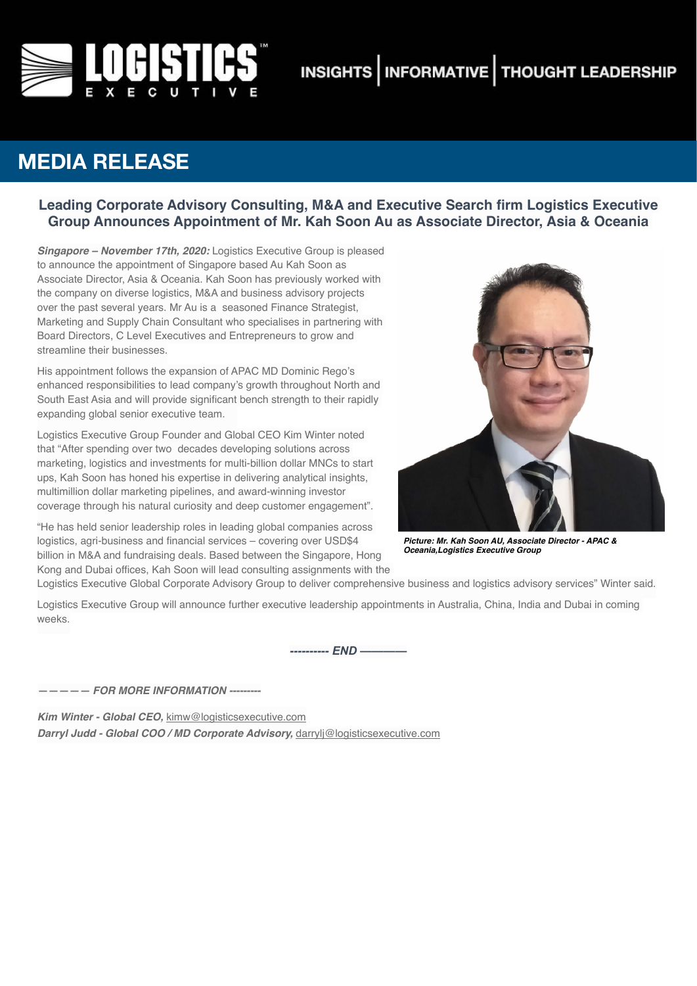

# **INSIGHTS | INFORMATIVE | THOUGHT LEADERSHIP**

## **MEDIA RELEASE**

## **Leading Corporate Advisory Consulting, M&A and Executive Search firm Logistics Executive Group Announces Appointment of Mr. Kah Soon Au as Associate Director, Asia & Oceania**

*Singapore – November 17th, 2020:* Logistics Executive Group is pleased to announce the appointment of Singapore based Au Kah Soon as Associate Director, Asia & Oceania. Kah Soon has previously worked with the company on diverse logistics, M&A and business advisory projects over the past several years. Mr Au is a seasoned Finance Strategist, Marketing and Supply Chain Consultant who specialises in partnering with Board Directors, C Level Executives and Entrepreneurs to grow and streamline their businesses.

His appointment follows the expansion of APAC MD Dominic Rego's enhanced responsibilities to lead company's growth throughout North and South East Asia and will provide significant bench strength to their rapidly expanding global senior executive team.

Logistics Executive Group Founder and Global CEO Kim Winter noted that "After spending over two decades developing solutions across marketing, logistics and investments for multi-billion dollar MNCs to start ups, Kah Soon has honed his expertise in delivering analytical insights, multimillion dollar marketing pipelines, and award-winning investor coverage through his natural curiosity and deep customer engagement".

"He has held senior leadership roles in leading global companies across logistics, agri-business and financial services – covering over USD\$4 billion in M&A and fundraising deals. Based between the Singapore, Hong Kong and Dubai offices, Kah Soon will lead consulting assignments with the



*Picture: Mr. Kah Soon AU, Associate Director - APAC & Oceania,Logistics Executive Group*

Logistics Executive Global Corporate Advisory Group to deliver comprehensive business and logistics advisory services" Winter said.

Logistics Executive Group will announce further executive leadership appointments in Australia, China, India and Dubai in coming weeks.

*---------- END ————* 

*————— FOR MORE INFORMATION ---------*

*Kim Winter - Global CEO,* [kimw@logisticsexecutive.com](mailto:kimw@logisticsexecutive.com) *Darryl Judd - Global COO / MD Corporate Advisory,* [darrylj@logisticsexecutive.com](mailto:darrylj@logisticsexecutive.com)